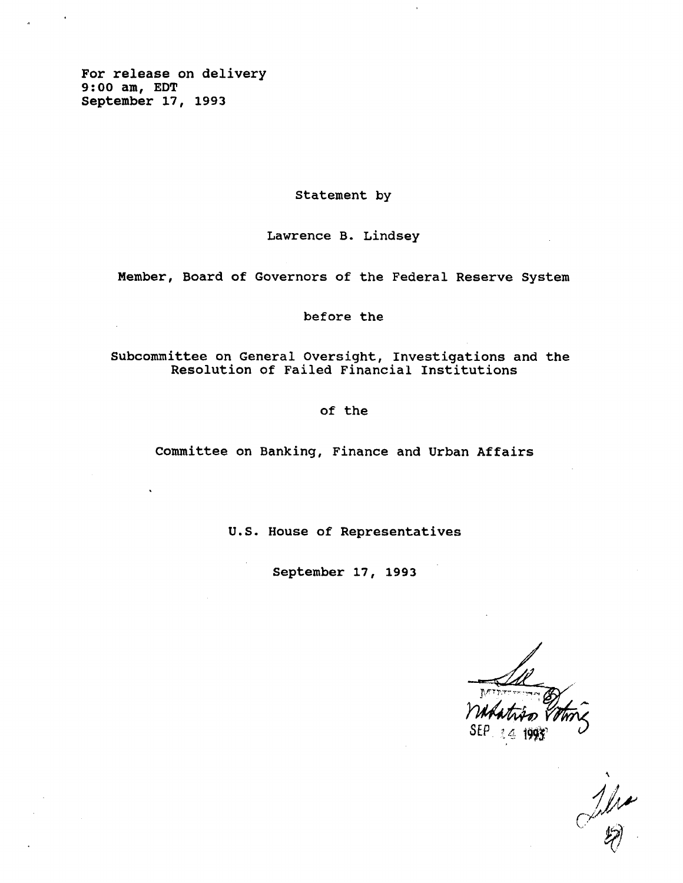**For release on delivery 9:00 am, EDT September 17, 1993**

**Statement by**

**Lawrence B. Lindsey**

**Member, Board of Governors of the Federal Reserve System**

**before the**

**Subcommittee on General Oversight, Investigations and the Resolution of Failed Financial Institutions**

**of the**

**Committee on Banking, Finance and Urban Affairs**

**U.S. House of Representatives**

**September 17, 1993**

**SEP. ? 4**

 $\frac{1}{2}$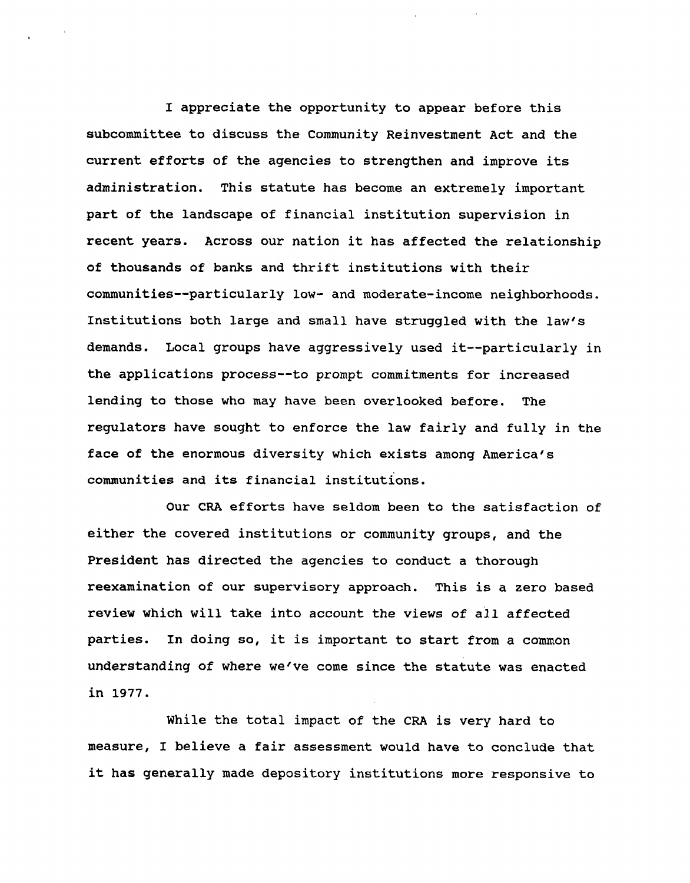**I appreciate the opportunity to appear before this subcommittee to discuss the Community Reinvestment Act and the current efforts of the agencies to strengthen and improve its administration. This statute has become an extremely important part of the landscape of financial institution supervision in recent years. Across our nation it has affected the relationship of thousands of banks and thrift institutions with their communities—particularly low- and moderate-income neighborhoods. Institutions both large and small have struggled with the law's demands. Local groups have aggressively used it—particularly in the applications process—to prompt commitments for increased lending to those who may have been overlooked before. The regulators have sought to enforce the law fairly and fully in the face of the enormous diversity which exists among America's communities and its financial institutions.**

**Our CRA efforts have seldom been to the satisfaction of either the covered institutions or community groups, and the President has directed the agencies to conduct a thorough reexamination of our supervisory approach. This is a zero based review which will take into account the views of all affected parties. In doing so, it is important to start from a common understanding of where we've come since the statute was enacted in 1977.**

**While the total impact of the CRA is very hard to measure, I believe a fair assessment would have to conclude that it has generally made depository institutions more responsive to**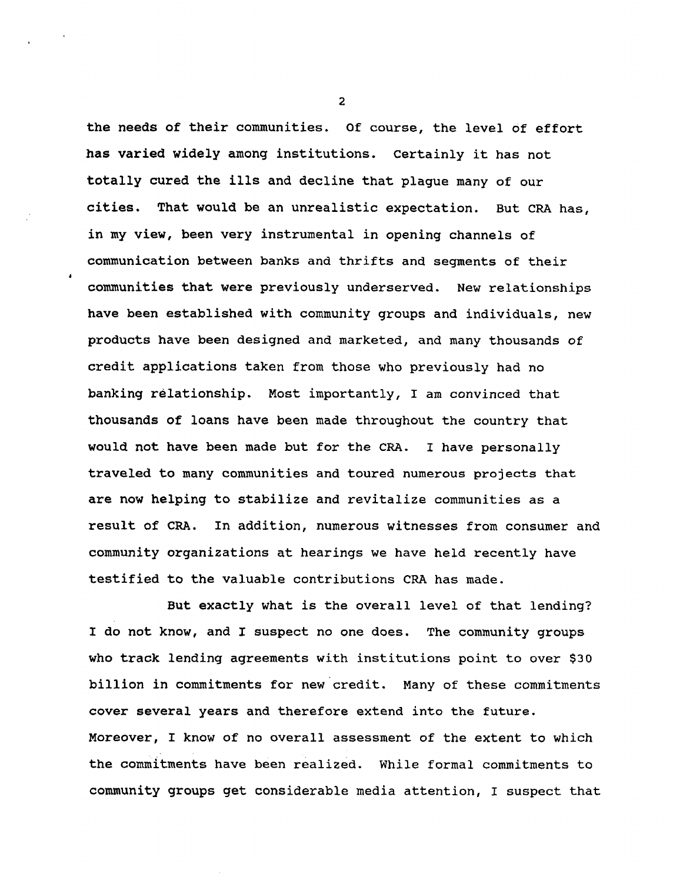**the needs of their communities. Of course, the level of effort has varied widely among institutions. Certainly it has not totally cured the ills and decline that plague many of our cities. That would be an unrealistic expectation. But CRA has, in my view, been very instrumental in opening channels of communication between banks and thrifts and segments of their communities that were previously underserved. New relationships have been established with community groups and individuals, new products have been designed and marketed, and many thousands of credit applications taken from those who previously had no banking relationship. Most importantly, I am convinced that thousands of loans have been made throughout the country that would not have been made but for the CRA. I have personally traveled to many communities and toured numerous projects that are now helping to stabilize and revitalize communities as a result of CRA. In addition, numerous witnesses from consumer and community organizations at hearings we have held recently have testified to the valuable contributions CRA has made.**

**But exactly what is the overall level of that lending? I do not know, and I suspect no one does. The community groups who track lending agreements with institutions point to over \$3 0 billion in commitments for new credit. Many of these commitments cover several years and therefore extend into the future. Moreover, I know of no overall assessment of the extent to which the commitments have been realized. While formal commitments to community groups get considerable media attention, I suspect that**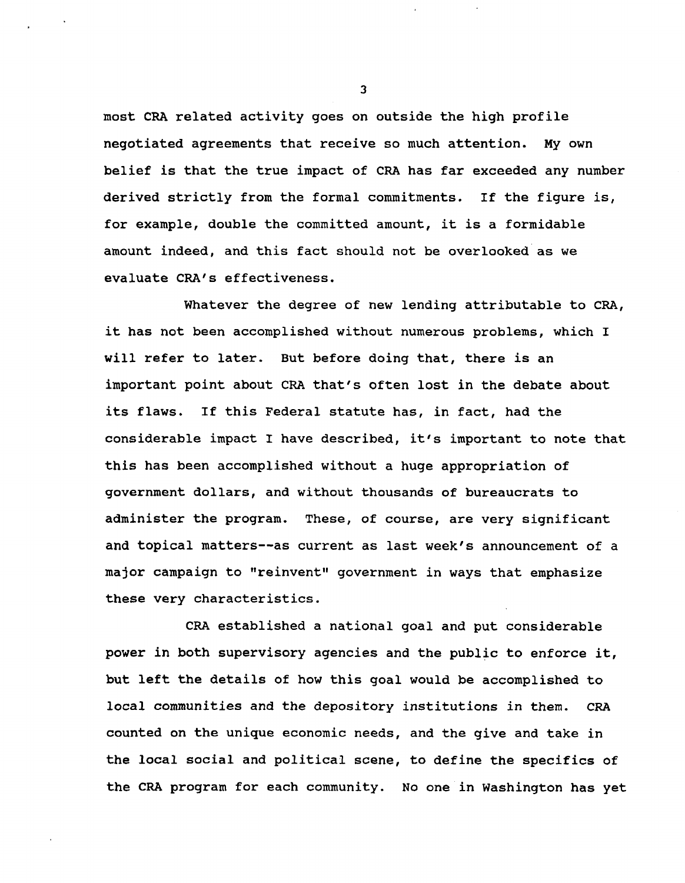**most CRA related activity goes on outside the high profile negotiated agreements that receive so much attention. My own belief is that the true impact of CRA has far exceeded any number derived strictly from the formal commitments. If the figure is, for example, double the committed amount, it is a formidable amount indeed, and this fact should not be overlooked as we evaluate CRA's effectiveness.**

**Whatever the degree of new lending attributable to CRA, it has not been accomplished without numerous problems, which I will refer to later. But before doing that, there is an important point about CRA that's often lost in the debate about its flaws. If this Federal statute has, in fact, had the considerable impact I have described, it's important to note that this has been accomplished without a huge appropriation of government dollars, and without thousands of bureaucrats to administer the program. These, of course, are very significant and topical matters—as current as last week's announcement of a major campaign to "reinvent" government in ways that emphasize these very characteristics.**

**CRA established a national goal and put considerable power in both supervisory agencies and the public to enforce it, but left the details of how this goal would be accomplished to local communities and the depository institutions in them. CRA counted on the unique economic needs, and the give and take in the local social and political scene, to define the specifics of the CRA program for each community. No one in Washington has yet**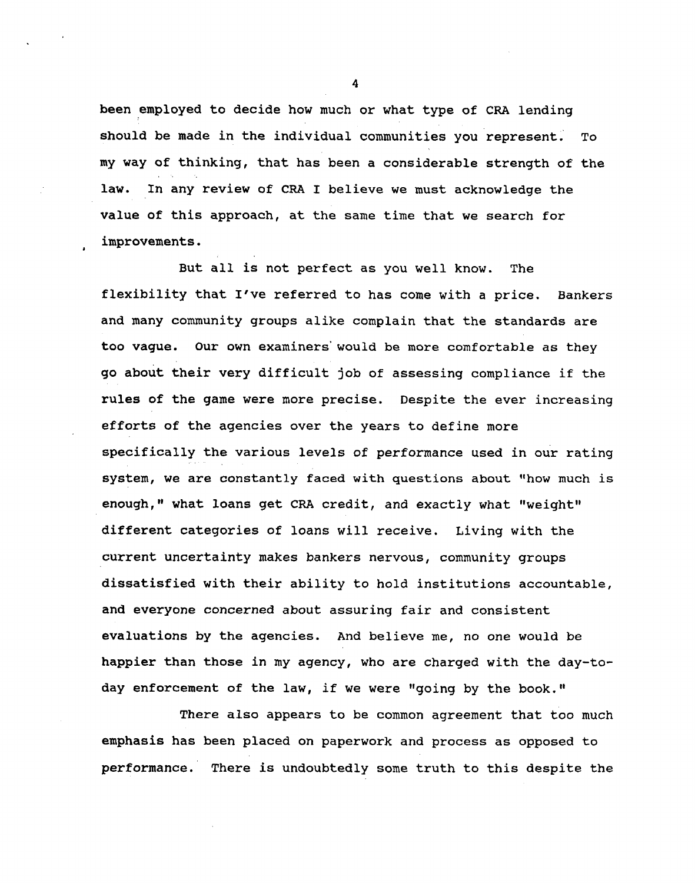**been employed to decide how much or what type of CRA lending should be made in the individual communities you represent. To my way of thinking, that has been a considerable strength of the law. In any review of CRA I believe we must acknowledge the value of this approach, at the same time that we search for improvements.**

**But all is not perfect as you well know. The flexibility that I've referred to has come with a price. Bankers and many community groups alike complain that the standards are too vague. Our own examiners' would be more comfortable as they go about their very difficult job of assessing compliance if the rules of the game were more precise. Despite the ever increasing efforts of the agencies over the years to define more specifically the various levels of performance used in our rating system, we are constantly faced with questions about "how much is enough," what loans get CRA credit, and exactly what "weight" different categories of loans will receive. Living with the current uncertainty makes bankers nervous, community groups dissatisfied with their ability to hold institutions accountable, and everyone concerned about assuring fair and consistent evaluations by the agencies. And believe me, no one would be happier than those in my agency, who are charged with the day-today enforcement of the law, if we were "going by the book."**

**There also appears to be common agreement that too much emphasis has been placed on paperwork and process as opposed to performance. There is undoubtedly some truth to this despite the**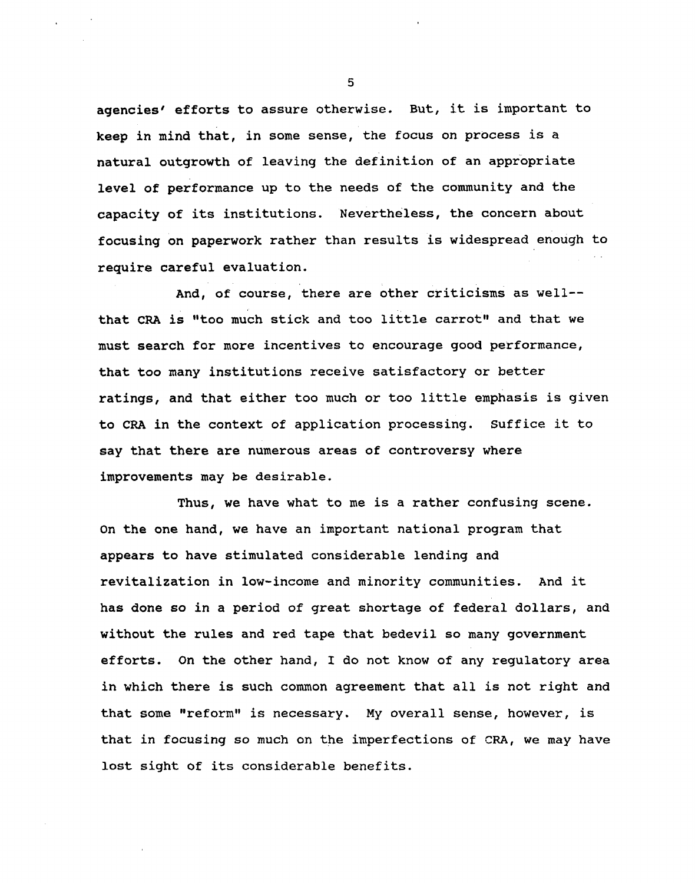**agencies' efforts to assure otherwise. But, it is important to keep in mind that, in some sense, the focus on process is a natural outgrowth of leaving the definition of an appropriate level of performance up to the needs of the community and the capacity of its institutions. Nevertheless, the concern about focusing on paperwork rather than results is widespread enough to require careful evaluation.**

**And, of course, there are other criticisms as well that CRA is "too much stick and too little carrot" and that we must search for more incentives to encourage good performance, that too many institutions receive satisfactory or better ratings, and that either too much or too little emphasis is given to CRA in the context of application processing. Suffice it to say that there are numerous areas of controversy where improvements may be desirable.**

**Thus, we have what to me is a rather confusing scene. On the one hand, we have an important national program that appears to have stimulated considerable lending and revitalization in low-income and minority communities. And it has done so in a period of great shortage of federal dollars, and without the rules and red tape that bedevil so many government efforts. On the other hand, I do not know of any regulatory area in which there is such common agreement that all is not right and that some "reform" is necessary. My overall sense, however, is that in focusing so much on the imperfections of CRA, we may have lost sight of its considerable benefits.**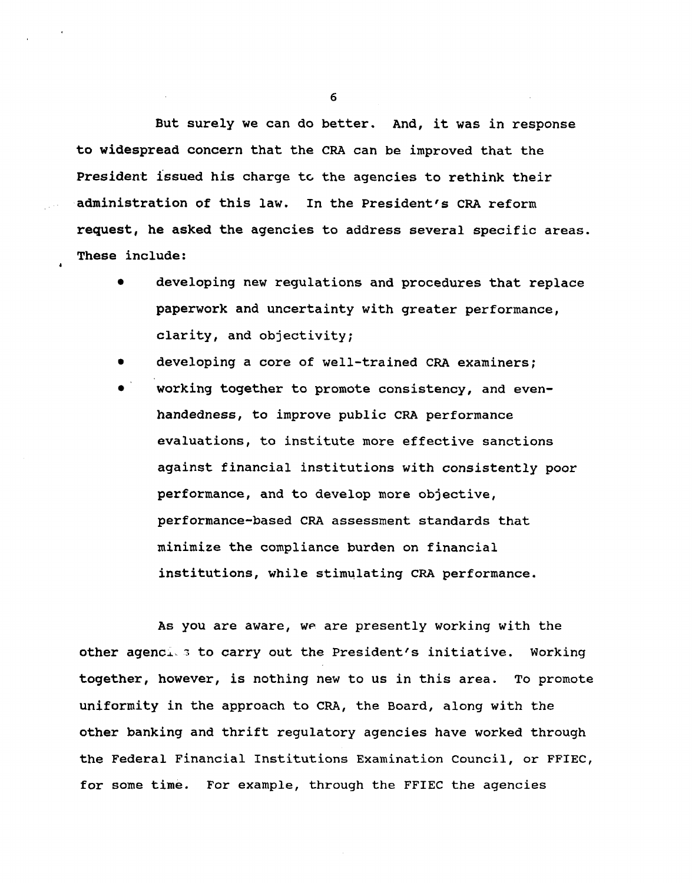**But surely we can do better. And, it was in response to widespread concern that the CRA can be improved that the President issued his charge tc the agencies to rethink their administration of this law. In the President's CRA reform request, he asked the agencies to address several specific areas. These include:**

- **• developing new regulations and procedures that replace paperwork and uncertainty with greater performance, clarity, and objectivity;**
- **• developing a core of well-trained CRA examiners;**
- **• working together to promote consistency, and evenhandedness, to improve public CRA performance evaluations, to institute more effective sanctions against financial institutions with consistently poor performance, and to develop more objective, performance-based CRA assessment standards that minimize the compliance burden on financial institutions, while stimulating CRA performance.**

**As you are aware, WP are presently working with the other agencx. 3 to carry out the President's initiative. Working together, however, is nothing new to us in this area. To promote uniformity in the approach to CRA, the Board, along with the other banking and thrift regulatory agencies have worked through the Federal Financial Institutions Examination Council, or FFIEC, for some time. For example, through the FFIEC the agencies**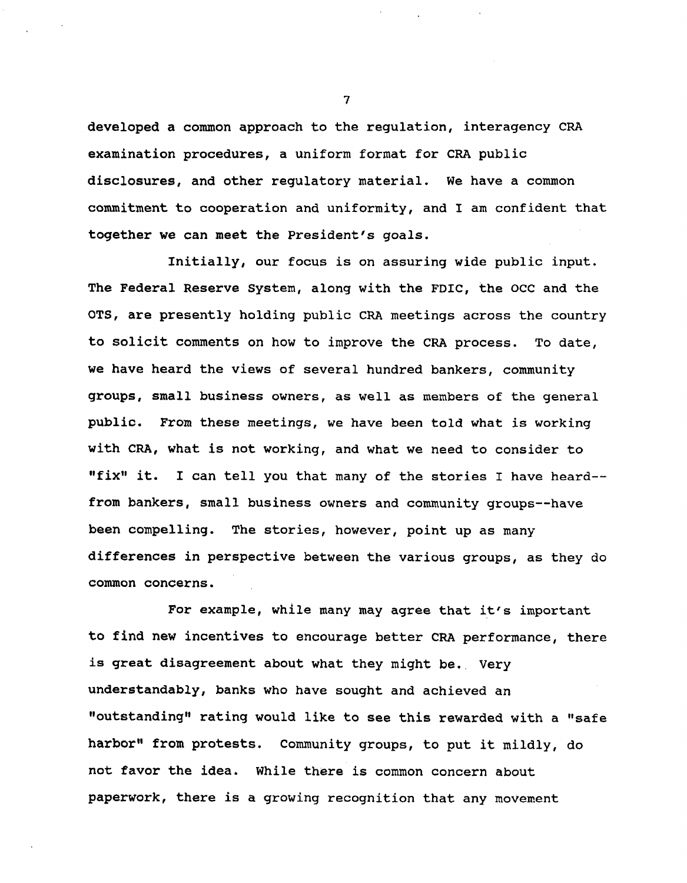**developed a common approach to the regulation, interagency CRA examination procedures, a uniform format for CRA public disclosures, and other regulatory material. We have a common commitment to cooperation and uniformity, and I am confident that together we can meet the President's goals.**

**Initially, our focus is on assuring wide public input. The Federal Reserve System, along with the FDIC, the OCC and the OTS, are presently holding public CRA meetings across the country to solicit comments on how to improve the CRA process. To date, we have heard the views of several hundred bankers, community groups, small business owners, as well as members of the general public. From these meetings, we have been told what is working with CRA, what is not working, and what we need to consider to "fix" it. I can tell you that many of the stories I have heard from bankers, small business owners and community groups—have been compelling. The stories, however, point up as many differences in perspective between the various groups, as they do common concerns.**

**For example, while many may agree that it's important to find new incentives to encourage better CRA performance, there is great disagreement about what they might be.. Very understandably, banks who have sought and achieved an "outstanding" rating would like to see this rewarded with a "safe harbor" from protests. Community groups, to put it mildly, do not favor the idea. While thiere is common concern about paperwork, there is a growing recognition that any movement**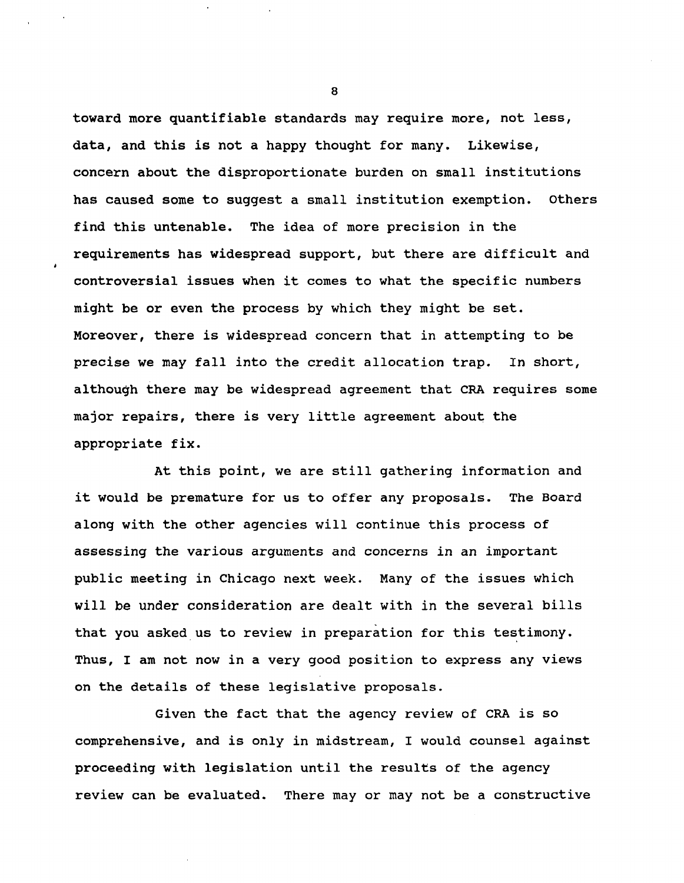**toward more quantifiable standards may require more, not less, data, and this is not a happy thought for many. Likewise, concern about the disproportionate burden on small institutions has caused some to suggest a small institution exemption, others find this untenable. The idea of more precision in the requirements has widespread support, but there are difficult and controversial issues when it comes to what the specific numbers might be or even the process by which they might be set. Moreover, there is widespread concern that in attempting to be precise we may fall into the credit allocation trap. In short, although there may be widespread agreement that CRA requires some major repairs, there is very little agreement about the appropriate fix.**

**At this point, we are still gathering information and it would be premature for us to offer any proposals. The Board along with the other agencies will continue this process of assessing the various arguments and concerns in an important public meeting in Chicago next week. Many of the issues which will be under consideration are dealt with in the several bills that you asked us to review in preparation for this testimony. Thus, I am not now in a very good position to express any views on the details of these legislative proposals.**

**Given the fact that the agency review of CRA is so comprehensive, and is only in midstream, I would counsel against proceeding with legislation until the results of the agency review can be evaluated. There may or may not be a constructive**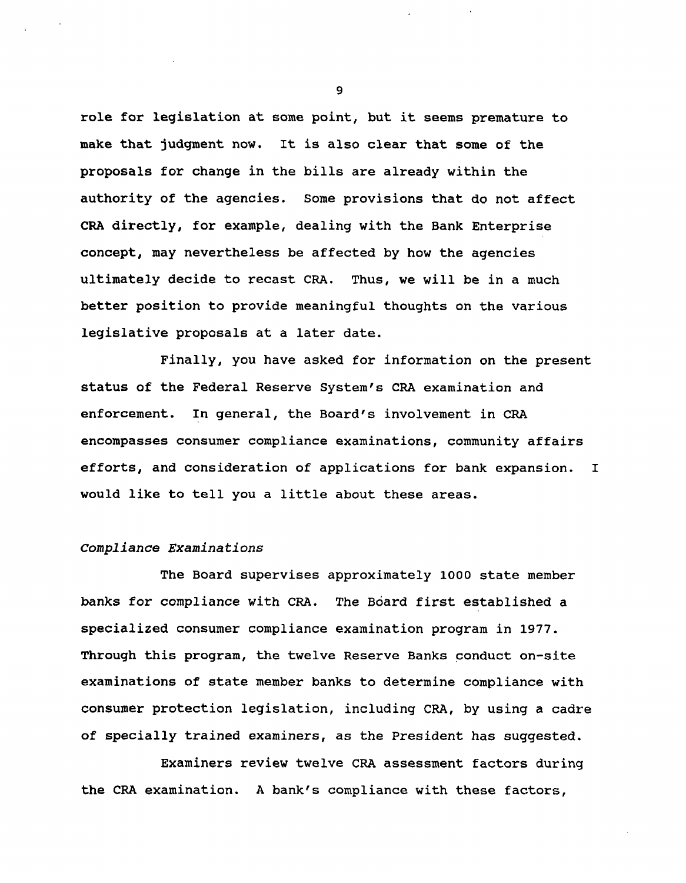**role for legislation at some point, but it seems premature to make that judgment now. It is also clear that some of the proposals for change in the bills are already within the authority of the agencies. Some provisions that do not affect CRA directly, for example, dealing with the Bank Enterprise concept, may nevertheless be affected by how the agencies ultimately decide to recast CRA. Thus, we will be in a much better position to provide meaningful thoughts on the various legislative proposals at a later date.**

**Finally, you have asked for information on the present status of the Federal Reserve System's CRA examination and enforcement. In general, the Board's involvement in CRA encompasses consumer compliance examinations, community affairs efforts, and consideration of applications for bank expansion. I would like to tell you a little about these areas.**

#### Compliance Examinations

**The Board supervises approximately 1000 state member banks for compliance with CRA. The Board first established a specialized consumer compliance examination program in 1977. Through this program, the twelve Reserve Banks conduct on-site examinations of state member banks to determine compliance with consumer protection legislation, including CRA, by using a cadre of specially trained examiners, as the President has suggested.**

**Examiners review twelve CRA assessment factors during the CRA examination. A bank's compliance with these factors,**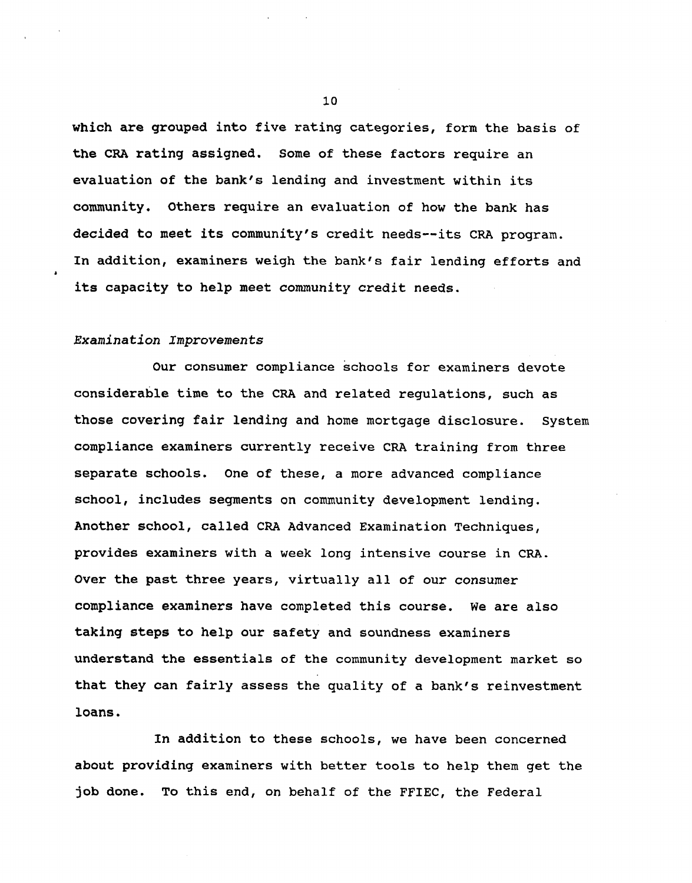**which are grouped into five rating categories, form the basis of the CRA rating assigned. Some of these factors require an evaluation of the bank's lending and investment within its community. Others require an evaluation of how the bank has decided to meet its community's credit needs—its CRA program. In addition, examiners weigh the bank's fair lending efforts and its capacity to help meet community credit needs.**

# Examination Improvements

**Our consumer compliance schools for examiners devote considerable time to the CRA and related regulations, such as those covering fair lending and home mortgage disclosure. System compliance examiners currently receive CRA training from three separate schools. One of these, a more advanced compliance school, includes segments on community development lending. Another school, called CRA Advanced Examination Techniques, provides examiners with a week long intensive course in CRA. Over the past three years, virtually all of our consumer compliance examiners have completed this course. We are also taking steps to help our safety and soundness examiners understand the essentials of the community development market so that they can fairly assess the quality of a bank's reinvestment loans.**

**In addition to these schools, we have been concerned about providing examiners with better tools to help them get the job done. To this end, on behalf of the FFIEC, the Federal**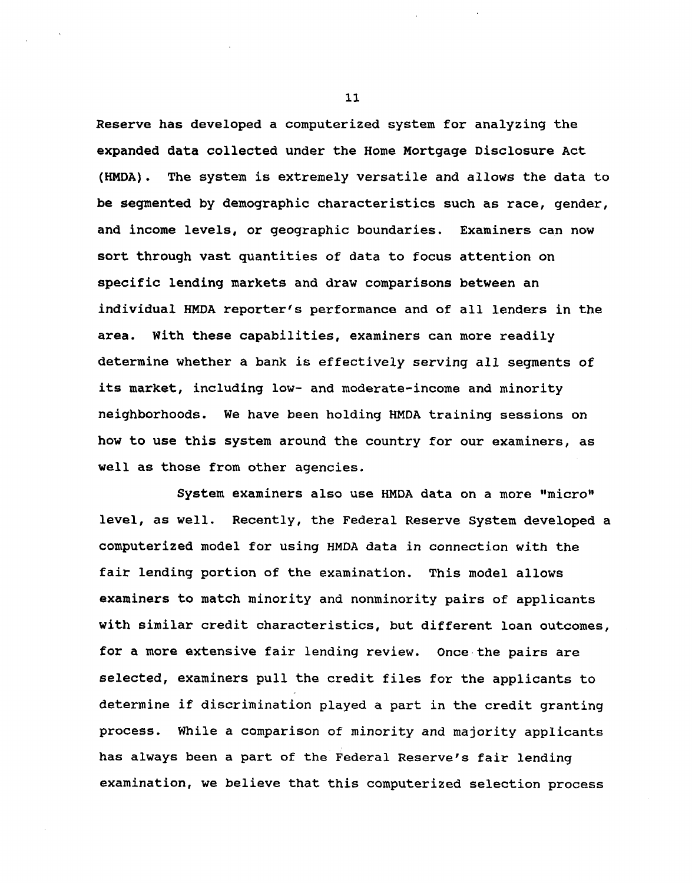**Reserve has developed a computerized system for analyzing the expanded data collected under the Home Mortgage Disclosure Act (HMDA). The system is extremely versatile and allows the data to be segmented by demographic characteristics such as race, gender, and income levels, or geographic boundaries. Examiners can now sort through vast quantities of data to focus attention on specific lending markets and draw comparisons between an individual HMDA reporter's performance and of all lenders in the area. With these capabilities, examiners can more readily determine whether a bank is effectively serving all segments of its market, including low- and moderate-income and minority neighborhoods. We have been holding HMDA training sessions on how to use this system around the country for our examiners, as well as those from other agencies.**

**System examiners also use HMDA data on a more "micro" level, as well. Recently, the Federal Reserve System developed a computerized model for using HMDA data in connection with the fair lending portion of the examination. This model allows examiners to match minority and nonminority pairs of applicants with similar credit characteristics, but different loan outcomes, for a more extensive fair lending review. Once the pairs are selected, examiners pull the credit files for the applicants to determine if discrimination played a part in the credit granting process. While a comparison of minority and majority applicants has always been a part of the Federal Reserve's fair lending examination, we believe that this computerized selection process**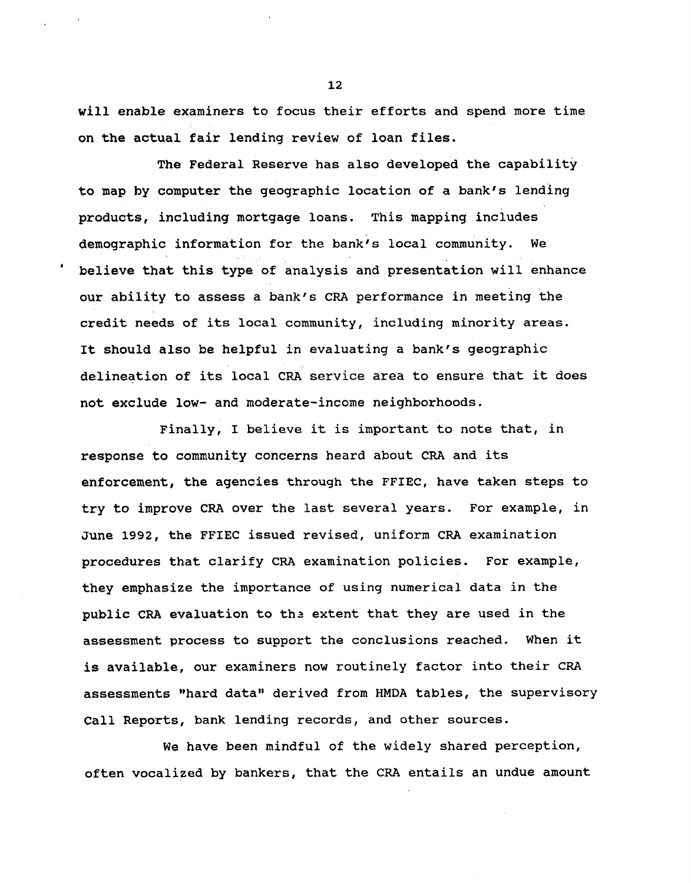**will enable examiners to focus their efforts and spend more time on the actual fair lending review of loan files.**

**The Federal Reserve has also developed the capability to map by computer the geographic location of a bank's lending products, including mortgage loans. This mapping includes demographic information for the bank's local community. We believe that this type of analysis and presentation will enhance our ability to assess a bank's CRA performance in meeting the credit needs of its local community, including minority areas. It should also be helpful in evaluating a bank's geographic delineation of its local CRA service area to ensure that it does not exclude low- and moderate-income neighborhoods.**

**Finally, I believe it is important to note that, in response to community concerns heard about CRA and its enforcement, the agencies through the FFIEC, have taken steps to try to improve CRA over the last several years. For example, in June 1992, the FFIEC issued revised, uniform CRA examination procedures that clarify CRA examination policies. For example, they emphasize the importance of using numerical data in the public CRA evaluation to ths extent that they are used in the assessment process to support the conclusions reached. When it is available, our examiners now routinely factor into their CRA assessments "hard data" derived from HMDA tables, the supervisory Call Reports, bank lending records, and other sources.**

**We have been mindful of the widely shared perception, often vocalized by bankers, that the CRA entails an undue amount**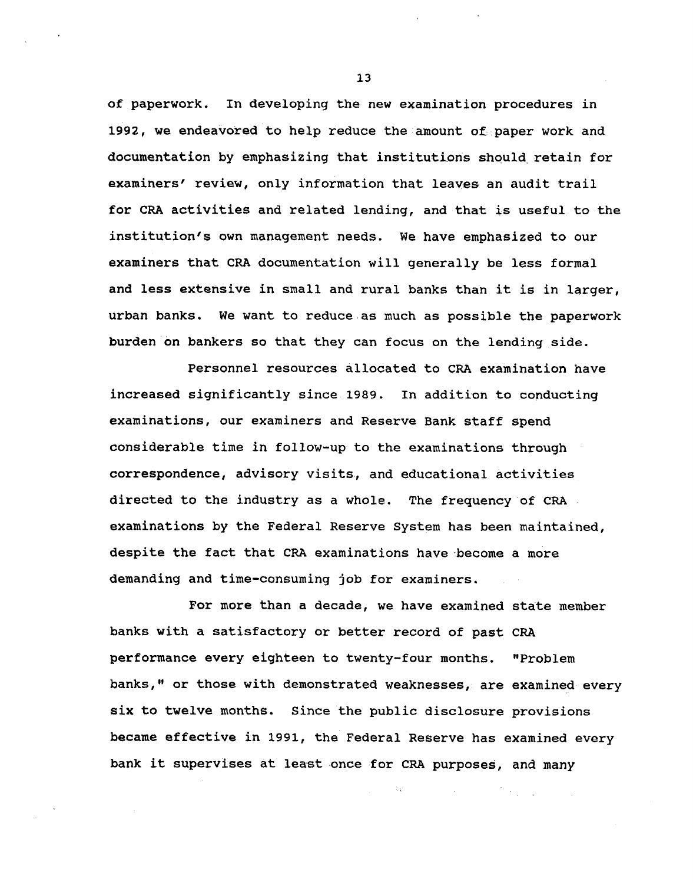**of paperwork. In developing the new examination procedures in 1992, we endeavored to help reduce the amount of paper work and documentation by emphasizing that institutions should retain for examiners' review, only information that leaves an audit trail for CRA activities and related lending, and that is useful to the institution's own management needs. We have emphasized to our examiners that CRA documentation will generally be less formal and less extensive in small and rural banks than it is in larger, urban banks. We want to reduce as much as possible the paperwork burden on bankers so that they can focus on the lending side.**

**Personnel resources allocated to CRA examination have increased significantly since 1989. In addition to conducting examinations, our examiners and Reserve Bank staff spend considerable time in follow-up to the examinations through correspondence, advisory visits, and educational activities directed to the industry as a whole. The frequency of CRA examinations by the Federal Reserve System has been maintained, despite the fact that CRA examinations have become a more demanding and time-consuming job for examiners.**

**For more than a decade, we have examined state member banks with a satisfactory or better record of past CRA performance every eighteen to twenty-four months. "Problem banks," or those with demonstrated weaknesses, are examined every six to twelve months. Since the public disclosure provisions became effective in 1991, the Federal Reserve has examined every bank it supervises at least once for CRA purposes, and many**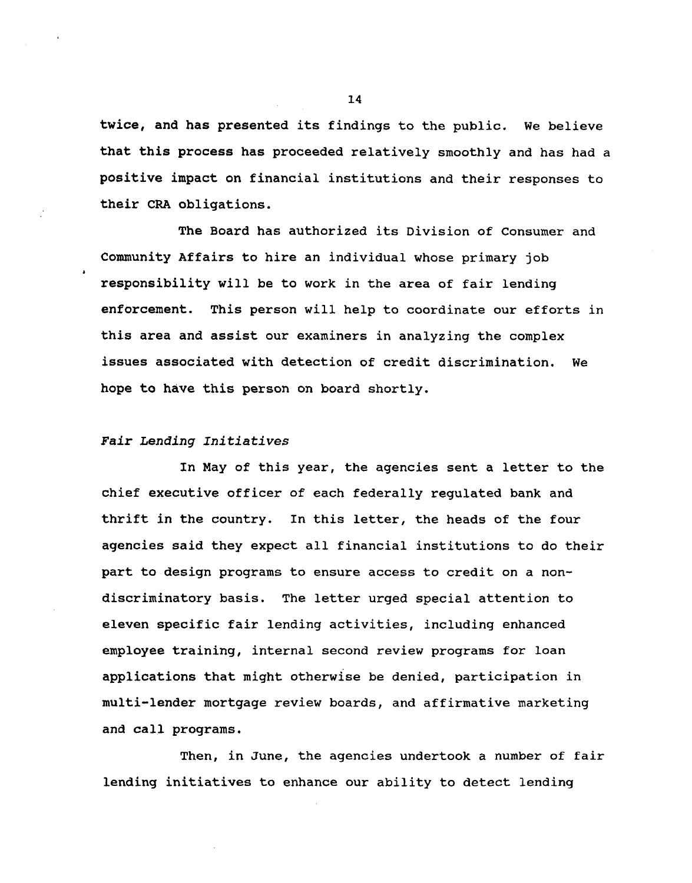**twice, and has presented its findings to the public. We believe that this process has proceeded relatively smoothly and has had a positive impact on financial institutions and their responses to their CRA obligations.**

**The Board has authorized its Division of Consumer and Community Affairs to hire an individual whose primary job responsibility will be to work in the area of fair lending enforcement. This person will help to coordinate our efforts in this area and assist our examiners in analyzing the complex issues associated with detection of credit discrimination. We hope to have this person on board shortly.**

## **Fair Lending Initiatives**

**In May of this year, the agencies sent a letter to the chief executive officer of each federally regulated bank and thrift in the country. In this letter, the heads of the four agencies said they expect all financial institutions to do their part to design programs to ensure access to credit on a nondiscriminatory basis. The letter urged special attention to eleven specific fair lending activities, including enhanced employee training, internal second review programs for loan applications that might otherwise be denied, participation in multi-lender mortgage review boards, and affirmative marketing and call programs.**

**Then, in June, the agencies undertook a number of fair lending initiatives to enhance our ability to detect lending**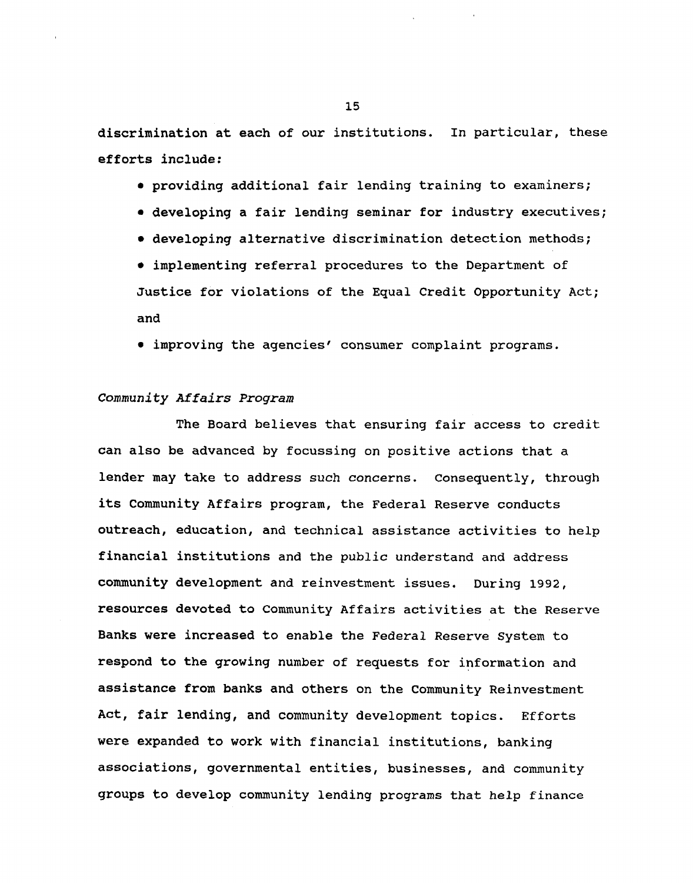**discrimination at each of our institutions. In particular, these efforts include:**

- **• providing additional fair lending training to examiners;**
- **• developing a fair lending seminar for industry executives;**
- **• developing alternative discrimination detection methods;**

**• implementing referral procedures to the Department of Justice for violations of the Equal Credit Opportunity Act; and**

**• improving the agencies' consumer complaint programs.**

# **Community** Affairs Program

**The Board believes that ensuring fair access to credit can also be advanced by focussing on positive actions that a lender may take to address such concerns. Consequently, through its Community Affairs program, the Federal Reserve conducts outreach, education, and technical assistance activities to help financial institutions and the public understand and address community development and reinvestment issues. During 1992, resources devoted to Community Affairs activities at the Reserve Banks were increased to enable the Federal Reserve System to respond to the growing number of requests for information and assistance from banks and others on the Community Reinvestment Act, fair lending, and community development topics. Efforts were expanded to work with financial institutions, banking associations, governmental entities, businesses, and community groups to develop community lending programs that help finance**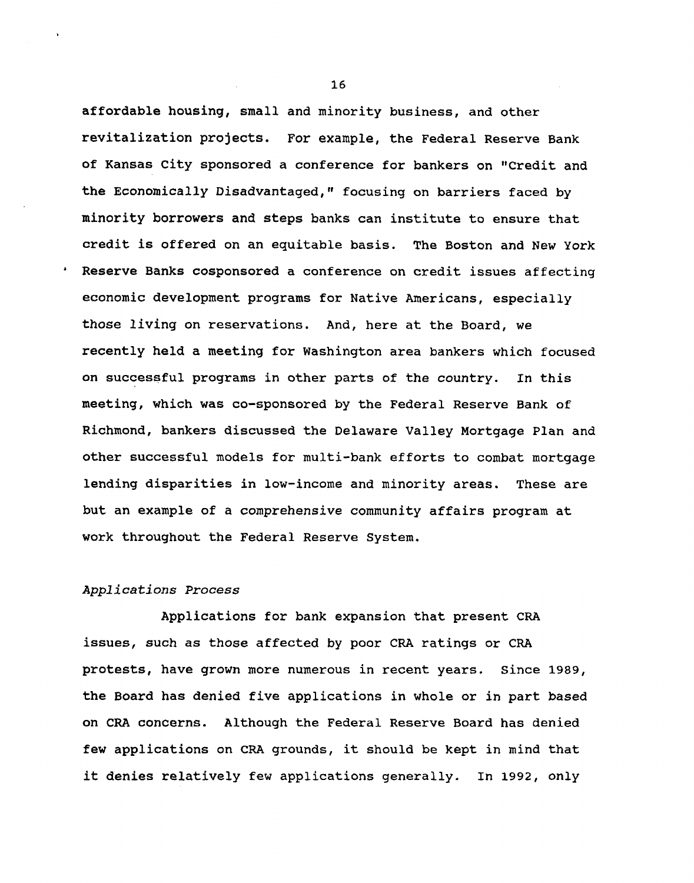**affordable housing, small and minority business, and other revitalization projects. For example, the Federal Reserve Bank of Kansas City sponsored a conference for bankers on "Credit and the Economically Disadvantaged," focusing on barriers faced by minority borrowers and steps banks can institute to ensure that credit is offered on an equitable basis. The Boston and New York Reserve Banks cosponsored a conference on credit issues affecting economic development programs for Native Americans, especially those living on reservations. And, here at the Board, we recently held a meeting for Washington area bankers which focused on successful programs in other parts of the country. In this meeting, which was co-sponsored by the Federal Reserve Bank of Richmond, bankers discussed the Delaware Valley Mortgage Plan and other successful models for multi-bank efforts to combat mortgage lending disparities in low-income and minority areas. These are but an example of a comprehensive community affairs program at work throughout the Federal Reserve System.**

## **Applications Process**

**Applications for bank expansion that present CRA issues, such as those affected by poor CRA ratings or CRA protests, have grown more numerous in recent years, since 1989, the Board has denied five applications in whole or in part based on CRA concerns. Although the Federal Reserve Board has denied few applications on CRA grounds, it should be kept in mind that it denies relatively few applications generally. In 1992, only**